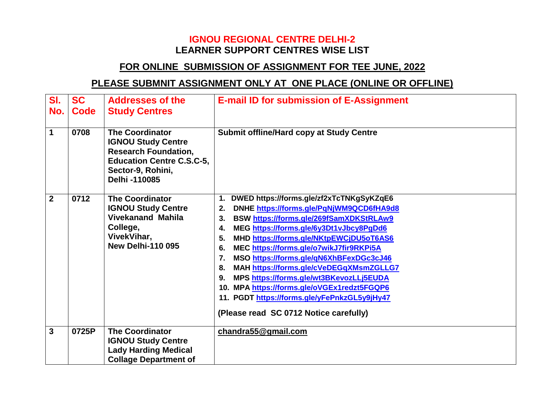## **IGNOU REGIONAL CENTRE DELHI-2 LEARNER SUPPORT CENTRES WISE LIST**

## **FOR ONLINE SUBMISSION OF ASSIGNMENT FOR TEE JUNE, 2022**

## **PLEASE SUBMNIT ASSIGNMENT ONLY AT ONE PLACE (ONLINE OR OFFLINE)**

| SI.<br>No.<br>$\mathbf 1$ | <b>SC</b><br><b>Code</b><br>0708 | <b>Addresses of the</b><br><b>Study Centres</b><br><b>The Coordinator</b><br><b>IGNOU Study Centre</b><br><b>Research Foundation,</b><br><b>Education Centre C.S.C-5,</b><br>Sector-9, Rohini,<br>Delhi-110085 | <b>E-mail ID for submission of E-Assignment</b><br><b>Submit offline/Hard copy at Study Centre</b>                                                                                                                                                                                                                                                                                                                                                                                                                                                                                                             |
|---------------------------|----------------------------------|----------------------------------------------------------------------------------------------------------------------------------------------------------------------------------------------------------------|----------------------------------------------------------------------------------------------------------------------------------------------------------------------------------------------------------------------------------------------------------------------------------------------------------------------------------------------------------------------------------------------------------------------------------------------------------------------------------------------------------------------------------------------------------------------------------------------------------------|
| $\overline{2}$            | 0712                             | <b>The Coordinator</b><br><b>IGNOU Study Centre</b><br><b>Vivekanand Mahila</b><br>College,<br>VivekVihar,<br><b>New Delhi-110 095</b>                                                                         | DWED https://forms.gle/zf2xTcTNKgSyKZqE6<br>1.<br>DNHE https://forms.gle/PqNjWM9QCD6fHA9d8<br>2.<br>BSW https://forms.gle/269fSamXDKStRLAw9<br>3.<br>MEG https://forms.gle/6y3Dt1vJbcy8PgDd6<br>4.<br>MHD https://forms.gle/NKtpEWCjDU5oT6AS6<br>5.<br>MEC https://forms.gle/o7wikJ7fir9RKPi5A<br>6.<br>MSO https://forms.gle/gN6XhBFexDGc3cJ46<br>$\overline{7}$ .<br>MAH https://forms.gle/cVeDEGqXMsmZGLLG7<br>8.<br>MPS https://forms.gle/wt3BKevozLLj5EUDA<br>9.<br>10. MPA https://forms.gle/oVGEx1redzt5FGQP6<br>11. PGDT https://forms.gle/yFePnkzGL5y9jHy47<br>(Please read SC 0712 Notice carefully) |
| 3                         | 0725P                            | <b>The Coordinator</b><br><b>IGNOU Study Centre</b><br><b>Lady Harding Medical</b><br><b>Collage Department of</b>                                                                                             | chandra55@gmail.com                                                                                                                                                                                                                                                                                                                                                                                                                                                                                                                                                                                            |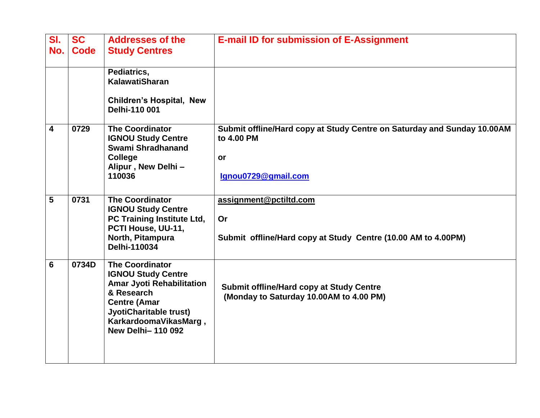| SI.<br>No. | <b>SC</b><br><b>Code</b> | <b>Addresses of the</b><br><b>Study Centres</b>                                                                                                                                                             | <b>E-mail ID for submission of E-Assignment</b>                                                                    |
|------------|--------------------------|-------------------------------------------------------------------------------------------------------------------------------------------------------------------------------------------------------------|--------------------------------------------------------------------------------------------------------------------|
|            |                          | Pediatrics,<br><b>KalawatiSharan</b>                                                                                                                                                                        |                                                                                                                    |
|            |                          | <b>Children's Hospital, New</b><br>Delhi-110 001                                                                                                                                                            |                                                                                                                    |
| 4          | 0729                     | <b>The Coordinator</b><br><b>IGNOU Study Centre</b><br>Swami Shradhanand<br><b>College</b><br>Alipur, New Delhi-<br>110036                                                                                  | Submit offline/Hard copy at Study Centre on Saturday and Sunday 10.00AM<br>to 4.00 PM<br>or<br>Ignou0729@gmail.com |
| 5          | 0731                     | <b>The Coordinator</b><br><b>IGNOU Study Centre</b><br>PC Training Institute Ltd,<br>PCTI House, UU-11,<br>North, Pitampura<br>Delhi-110034                                                                 | assignment@pctiltd.com<br>Or<br>Submit offline/Hard copy at Study Centre (10.00 AM to 4.00PM)                      |
| 6          | 0734D                    | <b>The Coordinator</b><br><b>IGNOU Study Centre</b><br><b>Amar Jyoti Rehabilitation</b><br>& Research<br><b>Centre (Amar</b><br>JyotiCharitable trust)<br>KarkardoomaVikasMarg,<br><b>New Delhi-110 092</b> | <b>Submit offline/Hard copy at Study Centre</b><br>(Monday to Saturday 10.00AM to 4.00 PM)                         |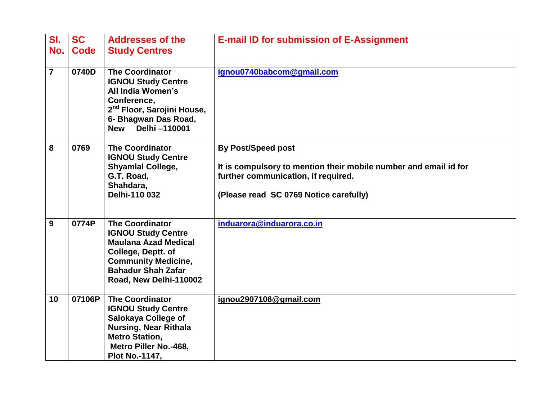| SI.<br>No.     | <b>SC</b><br><b>Code</b> | <b>Addresses of the</b><br><b>Study Centres</b>                                                                                                                                                 | <b>E-mail ID for submission of E-Assignment</b>                                                                                                                                |
|----------------|--------------------------|-------------------------------------------------------------------------------------------------------------------------------------------------------------------------------------------------|--------------------------------------------------------------------------------------------------------------------------------------------------------------------------------|
| $\overline{7}$ | 0740D                    | <b>The Coordinator</b><br><b>IGNOU Study Centre</b><br><b>All India Women's</b><br>Conference,<br>2 <sup>nd</sup> Floor, Sarojini House,<br>6- Bhagwan Das Road,<br>Delhi -110001<br><b>New</b> | ignou0740babcom@gmail.com                                                                                                                                                      |
| 8              | 0769                     | <b>The Coordinator</b><br><b>IGNOU Study Centre</b><br><b>Shyamlal College,</b><br>G.T. Road,<br>Shahdara,<br>Delhi-110 032                                                                     | <b>By Post/Speed post</b><br>It is compulsory to mention their mobile number and email id for<br>further communication, if required.<br>(Please read SC 0769 Notice carefully) |
| 9              | 0774P                    | <b>The Coordinator</b><br><b>IGNOU Study Centre</b><br><b>Maulana Azad Medical</b><br>College, Deptt. of<br><b>Community Medicine,</b><br><b>Bahadur Shah Zafar</b><br>Road, New Delhi-110002   | induarora@induarora.co.in                                                                                                                                                      |
| 10             | 07106P                   | <b>The Coordinator</b><br><b>IGNOU Study Centre</b><br>Salokaya College of<br><b>Nursing, Near Rithala</b><br><b>Metro Station,</b><br>Metro Piller No.-468,<br>Plot No.-1147,                  | ignou2907106@gmail.com                                                                                                                                                         |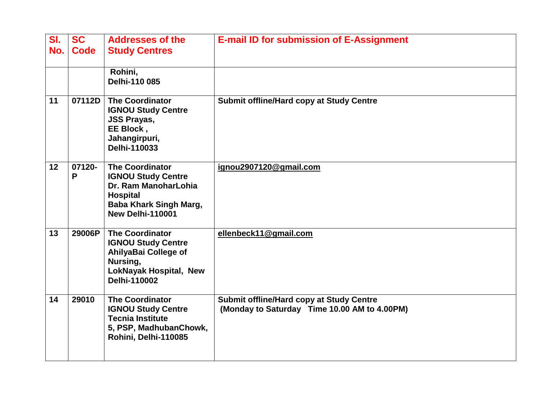| SI.<br>No. | <b>SC</b><br><b>Code</b> | <b>Addresses of the</b><br><b>Study Centres</b>                                                                                                     | <b>E-mail ID for submission of E-Assignment</b>                                                 |
|------------|--------------------------|-----------------------------------------------------------------------------------------------------------------------------------------------------|-------------------------------------------------------------------------------------------------|
|            |                          | Rohini,<br>Delhi-110 085                                                                                                                            |                                                                                                 |
| 11         | 07112D                   | <b>The Coordinator</b><br><b>IGNOU Study Centre</b><br><b>JSS Prayas,</b><br>EE Block,<br>Jahangirpuri,<br>Delhi-110033                             | <b>Submit offline/Hard copy at Study Centre</b>                                                 |
| 12         | 07120-<br>P              | <b>The Coordinator</b><br><b>IGNOU Study Centre</b><br>Dr. Ram ManoharLohia<br><b>Hospital</b><br><b>Baba Khark Singh Marg,</b><br>New Delhi-110001 | ignou2907120@gmail.com                                                                          |
| 13         | 29006P                   | <b>The Coordinator</b><br><b>IGNOU Study Centre</b><br>AhilyaBai College of<br>Nursing,<br><b>LokNayak Hospital, New</b><br>Delhi-110002            | ellenbeck11@gmail.com                                                                           |
| 14         | 29010                    | <b>The Coordinator</b><br><b>IGNOU Study Centre</b><br><b>Tecnia Institute</b><br>5, PSP, MadhubanChowk,<br>Rohini, Delhi-110085                    | <b>Submit offline/Hard copy at Study Centre</b><br>(Monday to Saturday Time 10.00 AM to 4.00PM) |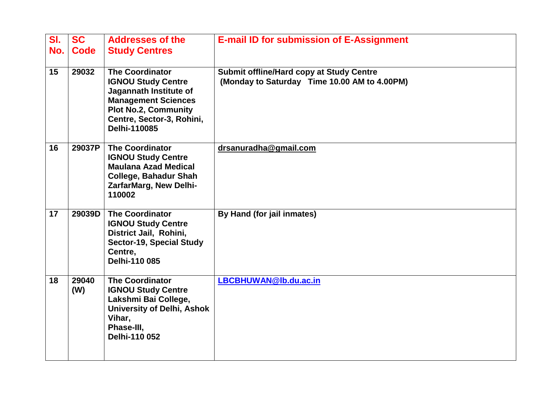| SI.<br>No. | <b>SC</b><br><b>Code</b> | <b>Addresses of the</b><br><b>Study Centres</b>                                                                                                                                         | <b>E-mail ID for submission of E-Assignment</b>                                                 |
|------------|--------------------------|-----------------------------------------------------------------------------------------------------------------------------------------------------------------------------------------|-------------------------------------------------------------------------------------------------|
|            |                          |                                                                                                                                                                                         |                                                                                                 |
| 15         | 29032                    | <b>The Coordinator</b><br><b>IGNOU Study Centre</b><br>Jagannath Institute of<br><b>Management Sciences</b><br><b>Plot No.2, Community</b><br>Centre, Sector-3, Rohini,<br>Delhi-110085 | <b>Submit offline/Hard copy at Study Centre</b><br>(Monday to Saturday Time 10.00 AM to 4.00PM) |
| 16         | 29037P                   | <b>The Coordinator</b><br><b>IGNOU Study Centre</b><br><b>Maulana Azad Medical</b><br><b>College, Bahadur Shah</b><br>ZarfarMarg, New Delhi-<br>110002                                  | drsanuradha@gmail.com                                                                           |
| 17         | 29039D                   | <b>The Coordinator</b><br><b>IGNOU Study Centre</b><br>District Jail, Rohini,<br>Sector-19, Special Study<br>Centre,<br>Delhi-110 085                                                   | By Hand (for jail inmates)                                                                      |
| 18         | 29040<br>(W)             | <b>The Coordinator</b><br><b>IGNOU Study Centre</b><br>Lakshmi Bai College,<br><b>University of Delhi, Ashok</b><br>Vihar,<br>Phase-III,<br>Delhi-110 052                               | LBCBHUWAN@lb.du.ac.in                                                                           |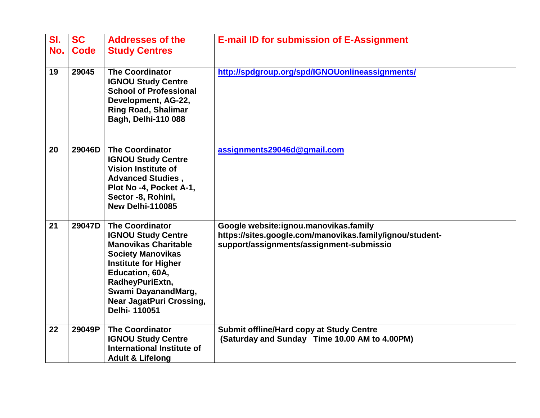| SI.<br>No. | <b>SC</b><br>Code | <b>Addresses of the</b><br><b>Study Centres</b>                                                                                                                                                                                                               | <b>E-mail ID for submission of E-Assignment</b>                                                                                               |
|------------|-------------------|---------------------------------------------------------------------------------------------------------------------------------------------------------------------------------------------------------------------------------------------------------------|-----------------------------------------------------------------------------------------------------------------------------------------------|
| 19         | 29045             | <b>The Coordinator</b><br><b>IGNOU Study Centre</b><br><b>School of Professional</b><br>Development, AG-22,<br><b>Ring Road, Shalimar</b><br><b>Bagh, Delhi-110 088</b>                                                                                       | http://spdgroup.org/spd/IGNOUonlineassignments/                                                                                               |
| 20         | 29046D            | <b>The Coordinator</b><br><b>IGNOU Study Centre</b><br><b>Vision Institute of</b><br><b>Advanced Studies,</b><br>Plot No -4, Pocket A-1,<br>Sector -8, Rohini,<br>New Delhi-110085                                                                            | assignments29046d@gmail.com                                                                                                                   |
| 21         | 29047D            | <b>The Coordinator</b><br><b>IGNOU Study Centre</b><br><b>Manovikas Charitable</b><br><b>Society Manovikas</b><br><b>Institute for Higher</b><br>Education, 60A,<br>RadheyPuriExtn,<br>Swami DayanandMarg,<br><b>Near JagatPuri Crossing,</b><br>Delhi-110051 | Google website:ignou.manovikas.family<br>https://sites.google.com/manovikas.family/ignou/student-<br>support/assignments/assignment-submissio |
| 22         | 29049P            | <b>The Coordinator</b><br><b>IGNOU Study Centre</b><br>International Institute of<br><b>Adult &amp; Lifelong</b>                                                                                                                                              | <b>Submit offline/Hard copy at Study Centre</b><br>(Saturday and Sunday Time 10.00 AM to 4.00PM)                                              |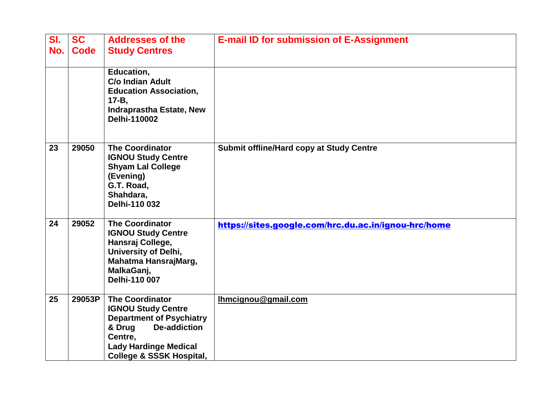| SI.<br>No. | <b>SC</b><br><b>Code</b> | <b>Addresses of the</b><br><b>Study Centres</b>                                                                                                                                                           | <b>E-mail ID for submission of E-Assignment</b>      |
|------------|--------------------------|-----------------------------------------------------------------------------------------------------------------------------------------------------------------------------------------------------------|------------------------------------------------------|
|            |                          | Education,<br><b>C/o Indian Adult</b><br><b>Education Association,</b><br>$17 - B$ ,<br><b>Indraprastha Estate, New</b><br>Delhi-110002                                                                   |                                                      |
| 23         | 29050                    | <b>The Coordinator</b><br><b>IGNOU Study Centre</b><br><b>Shyam Lal College</b><br>(Evening)<br>G.T. Road,<br>Shahdara,<br>Delhi-110 032                                                                  | <b>Submit offline/Hard copy at Study Centre</b>      |
| 24         | 29052                    | <b>The Coordinator</b><br><b>IGNOU Study Centre</b><br>Hansraj College,<br>University of Delhi,<br>Mahatma HansrajMarg,<br>MalkaGanj,<br>Delhi-110 007                                                    | https://sites.google.com/hrc.du.ac.in/ignou-hrc/home |
| 25         | 29053P                   | <b>The Coordinator</b><br><b>IGNOU Study Centre</b><br><b>Department of Psychiatry</b><br>& Drug<br><b>De-addiction</b><br>Centre,<br><b>Lady Hardinge Medical</b><br><b>College &amp; SSSK Hospital,</b> | Ihmcignou@gmail.com                                  |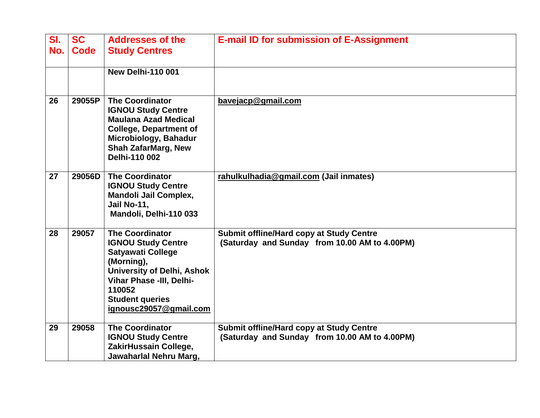| SI.<br>No. | <b>SC</b><br><b>Code</b> | <b>Addresses of the</b><br><b>Study Centres</b>                                                                                                                                                                              | <b>E-mail ID for submission of E-Assignment</b>                                                  |
|------------|--------------------------|------------------------------------------------------------------------------------------------------------------------------------------------------------------------------------------------------------------------------|--------------------------------------------------------------------------------------------------|
|            |                          | <b>New Delhi-110 001</b>                                                                                                                                                                                                     |                                                                                                  |
| 26         | 29055P                   | <b>The Coordinator</b><br><b>IGNOU Study Centre</b><br><b>Maulana Azad Medical</b><br><b>College, Department of</b><br>Microbiology, Bahadur<br><b>Shah ZafarMarg, New</b><br>Delhi-110 002                                  | bavejacp@gmail.com                                                                               |
| 27         | 29056D                   | <b>The Coordinator</b><br><b>IGNOU Study Centre</b><br><b>Mandoli Jail Complex,</b><br>Jail No-11,<br>Mandoli, Delhi-110 033                                                                                                 | rahulkulhadia@gmail.com (Jail inmates)                                                           |
| 28         | 29057                    | <b>The Coordinator</b><br><b>IGNOU Study Centre</b><br><b>Satyawati College</b><br>(Morning),<br><b>University of Delhi, Ashok</b><br>Vihar Phase -III, Delhi-<br>110052<br><b>Student queries</b><br>ignousc29057@gmail.com | <b>Submit offline/Hard copy at Study Centre</b><br>(Saturday and Sunday from 10.00 AM to 4.00PM) |
| 29         | 29058                    | <b>The Coordinator</b><br><b>IGNOU Study Centre</b><br>ZakirHussain College,<br>Jawaharlal Nehru Marg,                                                                                                                       | <b>Submit offline/Hard copy at Study Centre</b><br>(Saturday and Sunday from 10.00 AM to 4.00PM) |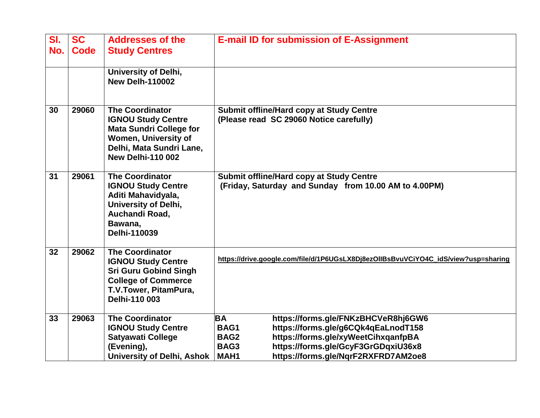| SI.<br>No. | <b>SC</b><br><b>Code</b> | <b>Addresses of the</b><br><b>Study Centres</b>                                                                                                                       | <b>E-mail ID for submission of E-Assignment</b>                                                                                                                                                                                                     |
|------------|--------------------------|-----------------------------------------------------------------------------------------------------------------------------------------------------------------------|-----------------------------------------------------------------------------------------------------------------------------------------------------------------------------------------------------------------------------------------------------|
|            |                          | University of Delhi,<br><b>New Delh-110002</b>                                                                                                                        |                                                                                                                                                                                                                                                     |
| 30         | 29060                    | The Coordinator<br><b>IGNOU Study Centre</b><br><b>Mata Sundri College for</b><br><b>Women, University of</b><br>Delhi, Mata Sundri Lane,<br><b>New Delhi-110 002</b> | <b>Submit offline/Hard copy at Study Centre</b><br>(Please read SC 29060 Notice carefully)                                                                                                                                                          |
| 31         | 29061                    | <b>The Coordinator</b><br><b>IGNOU Study Centre</b><br>Aditi Mahavidyala,<br><b>University of Delhi,</b><br>Auchandi Road,<br>Bawana,<br>Delhi-110039                 | <b>Submit offline/Hard copy at Study Centre</b><br>(Friday, Saturday and Sunday from 10.00 AM to 4.00PM)                                                                                                                                            |
| 32         | 29062                    | <b>The Coordinator</b><br><b>IGNOU Study Centre</b><br><b>Sri Guru Gobind Singh</b><br><b>College of Commerce</b><br>T.V.Tower, PitamPura,<br>Delhi-110 003           | https://drive.google.com/file/d/1P6UGsLX8Dj8ezOllBsBvuVCiYO4C_idS/view?usp=sharing                                                                                                                                                                  |
| 33         | 29063                    | <b>The Coordinator</b><br><b>IGNOU Study Centre</b><br><b>Satyawati College</b><br>(Evening),<br><b>University of Delhi, Ashok</b>                                    | <b>BA</b><br>https://forms.gle/FNKzBHCVeR8hj6GW6<br>https://forms.gle/g6CQk4qEaLnodT158<br>BAG1<br>https://forms.gle/xyWeetCihxqanfpBA<br>BAG2<br>https://forms.gle/GcyF3GrGDqxiU36x8<br>BAG3<br>https://forms.gle/NqrF2RXFRD7AM2oe8<br><b>MAH1</b> |